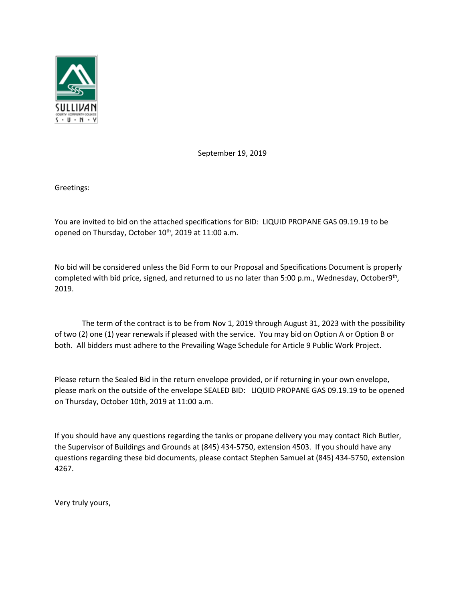

September 19, 2019

Greetings:

You are invited to bid on the attached specifications for BID: LIQUID PROPANE GAS 09.19.19 to be opened on Thursday, October 10<sup>th</sup>, 2019 at 11:00 a.m.

No bid will be considered unless the Bid Form to our Proposal and Specifications Document is properly completed with bid price, signed, and returned to us no later than 5:00 p.m., Wednesday, October9<sup>th</sup>, 2019.

 The term of the contract is to be from Nov 1, 2019 through August 31, 2023 with the possibility of two (2) one (1) year renewals if pleased with the service. You may bid on Option A or Option B or both. All bidders must adhere to the Prevailing Wage Schedule for Article 9 Public Work Project.

Please return the Sealed Bid in the return envelope provided, or if returning in your own envelope, please mark on the outside of the envelope SEALED BID: LIQUID PROPANE GAS 09.19.19 to be opened on Thursday, October 10th, 2019 at 11:00 a.m.

If you should have any questions regarding the tanks or propane delivery you may contact Rich Butler, the Supervisor of Buildings and Grounds at (845) 434-5750, extension 4503. If you should have any questions regarding these bid documents, please contact Stephen Samuel at (845) 434-5750, extension 4267.

Very truly yours,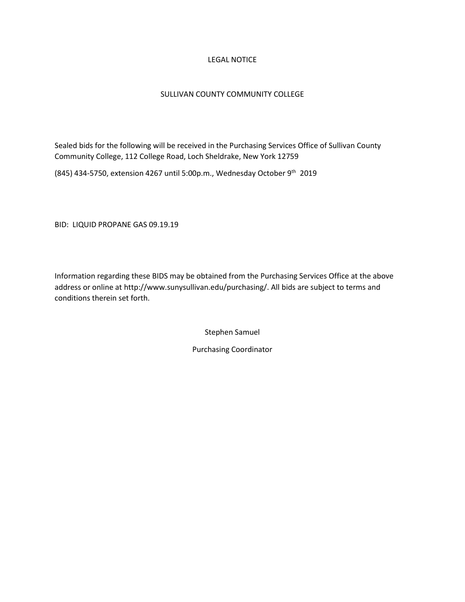#### LEGAL NOTICE

#### SULLIVAN COUNTY COMMUNITY COLLEGE

Sealed bids for the following will be received in the Purchasing Services Office of Sullivan County Community College, 112 College Road, Loch Sheldrake, New York 12759

(845) 434-5750, extension 4267 until 5:00p.m., Wednesday October 9<sup>th</sup> 2019

BID: LIQUID PROPANE GAS 09.19.19

Information regarding these BIDS may be obtained from the Purchasing Services Office at the above address or online at http://www.sunysullivan.edu/purchasing/. All bids are subject to terms and conditions therein set forth.

Stephen Samuel

Purchasing Coordinator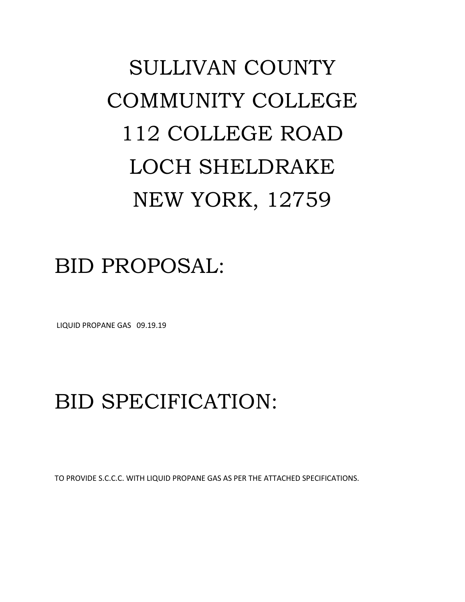# SULLIVAN COUNTY COMMUNITY COLLEGE 112 COLLEGE ROAD LOCH SHELDRAKE NEW YORK, 12759

### BID PROPOSAL:

LIQUID PROPANE GAS 09.19.19

## BID SPECIFICATION:

TO PROVIDE S.C.C.C. WITH LIQUID PROPANE GAS AS PER THE ATTACHED SPECIFICATIONS.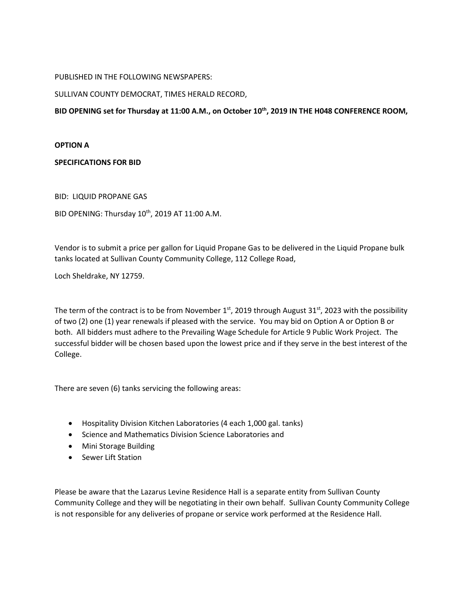#### PUBLISHED IN THE FOLLOWING NEWSPAPERS:

#### SULLIVAN COUNTY DEMOCRAT, TIMES HERALD RECORD,

**BID OPENING set for Thursday at 11:00 A.M., on October 10th , 2019 IN THE H048 CONFERENCE ROOM,** 

#### **OPTION A**

#### **SPECIFICATIONS FOR BID**

BID: LIQUID PROPANE GAS

BID OPENING: Thursday 10<sup>th</sup>, 2019 AT 11:00 A.M.

Vendor is to submit a price per gallon for Liquid Propane Gas to be delivered in the Liquid Propane bulk tanks located at Sullivan County Community College, 112 College Road,

Loch Sheldrake, NY 12759.

The term of the contract is to be from November 1<sup>st</sup>, 2019 through August 31<sup>st</sup>, 2023 with the possibility of two (2) one (1) year renewals if pleased with the service. You may bid on Option A or Option B or both. All bidders must adhere to the Prevailing Wage Schedule for Article 9 Public Work Project. The successful bidder will be chosen based upon the lowest price and if they serve in the best interest of the College.

There are seven (6) tanks servicing the following areas:

- Hospitality Division Kitchen Laboratories (4 each 1,000 gal. tanks)
- Science and Mathematics Division Science Laboratories and
- Mini Storage Building
- Sewer Lift Station

Please be aware that the Lazarus Levine Residence Hall is a separate entity from Sullivan County Community College and they will be negotiating in their own behalf. Sullivan County Community College is not responsible for any deliveries of propane or service work performed at the Residence Hall.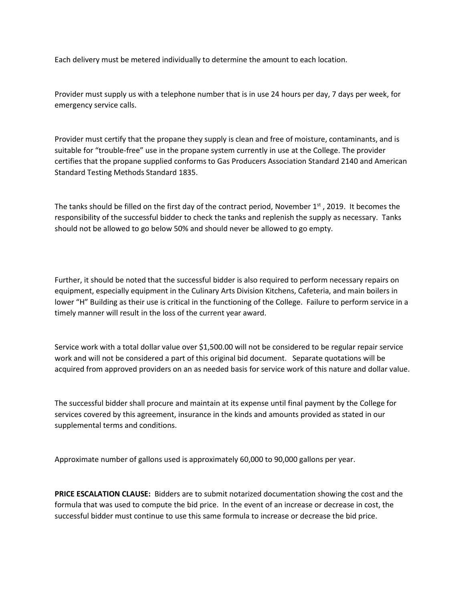Each delivery must be metered individually to determine the amount to each location.

Provider must supply us with a telephone number that is in use 24 hours per day, 7 days per week, for emergency service calls.

Provider must certify that the propane they supply is clean and free of moisture, contaminants, and is suitable for "trouble-free" use in the propane system currently in use at the College. The provider certifies that the propane supplied conforms to Gas Producers Association Standard 2140 and American Standard Testing Methods Standard 1835.

The tanks should be filled on the first day of the contract period, November  $1<sup>st</sup>$ , 2019. It becomes the responsibility of the successful bidder to check the tanks and replenish the supply as necessary. Tanks should not be allowed to go below 50% and should never be allowed to go empty.

Further, it should be noted that the successful bidder is also required to perform necessary repairs on equipment, especially equipment in the Culinary Arts Division Kitchens, Cafeteria, and main boilers in lower "H" Building as their use is critical in the functioning of the College. Failure to perform service in a timely manner will result in the loss of the current year award.

Service work with a total dollar value over \$1,500.00 will not be considered to be regular repair service work and will not be considered a part of this original bid document. Separate quotations will be acquired from approved providers on an as needed basis for service work of this nature and dollar value.

The successful bidder shall procure and maintain at its expense until final payment by the College for services covered by this agreement, insurance in the kinds and amounts provided as stated in our supplemental terms and conditions.

Approximate number of gallons used is approximately 60,000 to 90,000 gallons per year.

**PRICE ESCALATION CLAUSE:** Bidders are to submit notarized documentation showing the cost and the formula that was used to compute the bid price. In the event of an increase or decrease in cost, the successful bidder must continue to use this same formula to increase or decrease the bid price.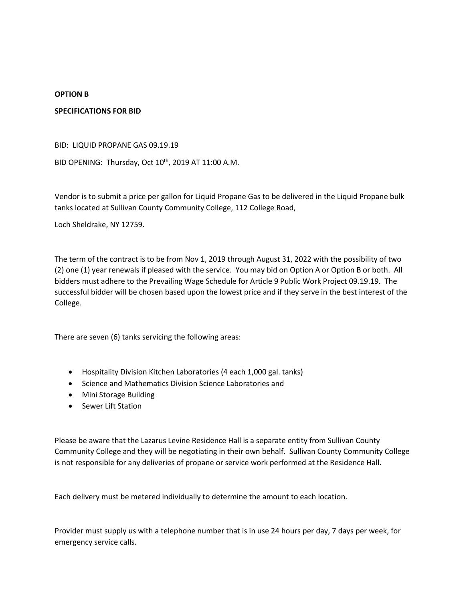#### **OPTION B**

#### **SPECIFICATIONS FOR BID**

BID: LIQUID PROPANE GAS 09.19.19

BID OPENING: Thursday, Oct 10<sup>th</sup>, 2019 AT 11:00 A.M.

Vendor is to submit a price per gallon for Liquid Propane Gas to be delivered in the Liquid Propane bulk tanks located at Sullivan County Community College, 112 College Road,

Loch Sheldrake, NY 12759.

The term of the contract is to be from Nov 1, 2019 through August 31, 2022 with the possibility of two (2) one (1) year renewals if pleased with the service. You may bid on Option A or Option B or both. All bidders must adhere to the Prevailing Wage Schedule for Article 9 Public Work Project 09.19.19. The successful bidder will be chosen based upon the lowest price and if they serve in the best interest of the College.

There are seven (6) tanks servicing the following areas:

- Hospitality Division Kitchen Laboratories (4 each 1,000 gal. tanks)
- Science and Mathematics Division Science Laboratories and
- Mini Storage Building
- Sewer Lift Station

Please be aware that the Lazarus Levine Residence Hall is a separate entity from Sullivan County Community College and they will be negotiating in their own behalf. Sullivan County Community College is not responsible for any deliveries of propane or service work performed at the Residence Hall.

Each delivery must be metered individually to determine the amount to each location.

Provider must supply us with a telephone number that is in use 24 hours per day, 7 days per week, for emergency service calls.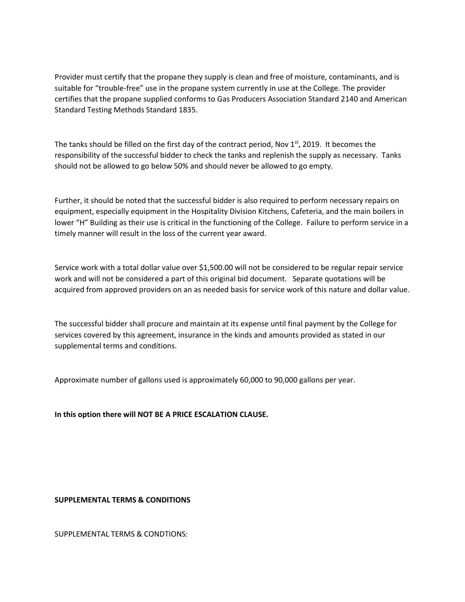Provider must certify that the propane they supply is clean and free of moisture, contaminants, and is suitable for "trouble-free" use in the propane system currently in use at the College. The provider certifies that the propane supplied conforms to Gas Producers Association Standard 2140 and American Standard Testing Methods Standard 1835.

The tanks should be filled on the first day of the contract period, Nov  $1<sup>st</sup>$ , 2019. It becomes the responsibility of the successful bidder to check the tanks and replenish the supply as necessary. Tanks should not be allowed to go below 50% and should never be allowed to go empty.

Further, it should be noted that the successful bidder is also required to perform necessary repairs on equipment, especially equipment in the Hospitality Division Kitchens, Cafeteria, and the main boilers in lower "H" Building as their use is critical in the functioning of the College. Failure to perform service in a timely manner will result in the loss of the current year award.

Service work with a total dollar value over \$1,500.00 will not be considered to be regular repair service work and will not be considered a part of this original bid document. Separate quotations will be acquired from approved providers on an as needed basis for service work of this nature and dollar value.

The successful bidder shall procure and maintain at its expense until final payment by the College for services covered by this agreement, insurance in the kinds and amounts provided as stated in our supplemental terms and conditions.

Approximate number of gallons used is approximately 60,000 to 90,000 gallons per year.

**In this option there will NOT BE A PRICE ESCALATION CLAUSE.**

**SUPPLEMENTAL TERMS & CONDITIONS**

SUPPLEMENTAL TERMS & CONDTIONS: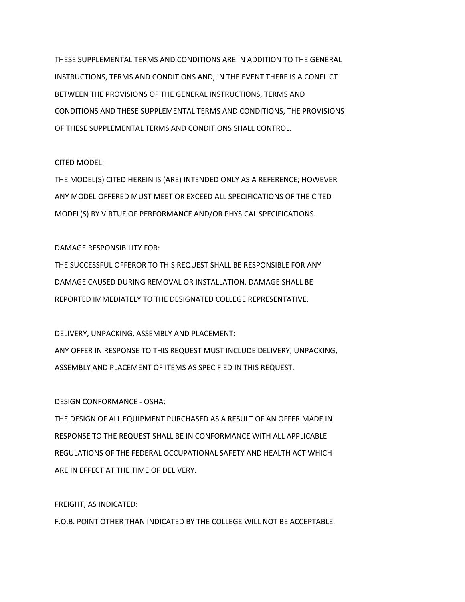THESE SUPPLEMENTAL TERMS AND CONDITIONS ARE IN ADDITION TO THE GENERAL INSTRUCTIONS, TERMS AND CONDITIONS AND, IN THE EVENT THERE IS A CONFLICT BETWEEN THE PROVISIONS OF THE GENERAL INSTRUCTIONS, TERMS AND CONDITIONS AND THESE SUPPLEMENTAL TERMS AND CONDITIONS, THE PROVISIONS OF THESE SUPPLEMENTAL TERMS AND CONDITIONS SHALL CONTROL.

#### CITED MODEL:

THE MODEL(S) CITED HEREIN IS (ARE) INTENDED ONLY AS A REFERENCE; HOWEVER ANY MODEL OFFERED MUST MEET OR EXCEED ALL SPECIFICATIONS OF THE CITED MODEL(S) BY VIRTUE OF PERFORMANCE AND/OR PHYSICAL SPECIFICATIONS.

#### DAMAGE RESPONSIBILITY FOR:

THE SUCCESSFUL OFFEROR TO THIS REQUEST SHALL BE RESPONSIBLE FOR ANY DAMAGE CAUSED DURING REMOVAL OR INSTALLATION. DAMAGE SHALL BE REPORTED IMMEDIATELY TO THE DESIGNATED COLLEGE REPRESENTATIVE.

DELIVERY, UNPACKING, ASSEMBLY AND PLACEMENT:

ANY OFFER IN RESPONSE TO THIS REQUEST MUST INCLUDE DELIVERY, UNPACKING, ASSEMBLY AND PLACEMENT OF ITEMS AS SPECIFIED IN THIS REQUEST.

#### DESIGN CONFORMANCE - OSHA:

THE DESIGN OF ALL EQUIPMENT PURCHASED AS A RESULT OF AN OFFER MADE IN RESPONSE TO THE REQUEST SHALL BE IN CONFORMANCE WITH ALL APPLICABLE REGULATIONS OF THE FEDERAL OCCUPATIONAL SAFETY AND HEALTH ACT WHICH ARE IN EFFECT AT THE TIME OF DELIVERY.

FREIGHT, AS INDICATED:

F.O.B. POINT OTHER THAN INDICATED BY THE COLLEGE WILL NOT BE ACCEPTABLE.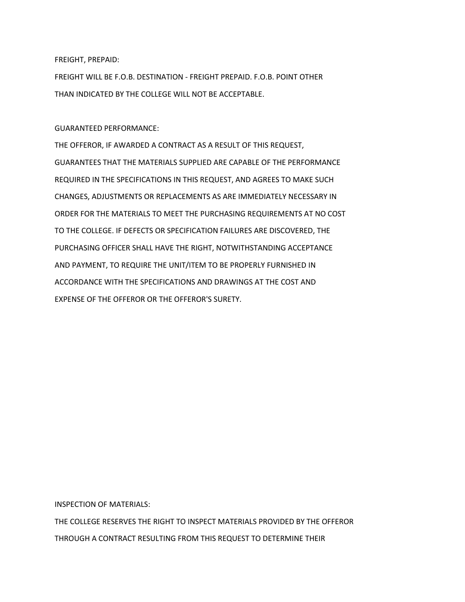FREIGHT, PREPAID:

FREIGHT WILL BE F.O.B. DESTINATION - FREIGHT PREPAID. F.O.B. POINT OTHER THAN INDICATED BY THE COLLEGE WILL NOT BE ACCEPTABLE.

GUARANTEED PERFORMANCE:

THE OFFEROR, IF AWARDED A CONTRACT AS A RESULT OF THIS REQUEST, GUARANTEES THAT THE MATERIALS SUPPLIED ARE CAPABLE OF THE PERFORMANCE REQUIRED IN THE SPECIFICATIONS IN THIS REQUEST, AND AGREES TO MAKE SUCH CHANGES, ADJUSTMENTS OR REPLACEMENTS AS ARE IMMEDIATELY NECESSARY IN ORDER FOR THE MATERIALS TO MEET THE PURCHASING REQUIREMENTS AT NO COST TO THE COLLEGE. IF DEFECTS OR SPECIFICATION FAILURES ARE DISCOVERED, THE PURCHASING OFFICER SHALL HAVE THE RIGHT, NOTWITHSTANDING ACCEPTANCE AND PAYMENT, TO REQUIRE THE UNIT/ITEM TO BE PROPERLY FURNISHED IN ACCORDANCE WITH THE SPECIFICATIONS AND DRAWINGS AT THE COST AND EXPENSE OF THE OFFEROR OR THE OFFEROR'S SURETY.

INSPECTION OF MATERIALS:

THE COLLEGE RESERVES THE RIGHT TO INSPECT MATERIALS PROVIDED BY THE OFFEROR THROUGH A CONTRACT RESULTING FROM THIS REQUEST TO DETERMINE THEIR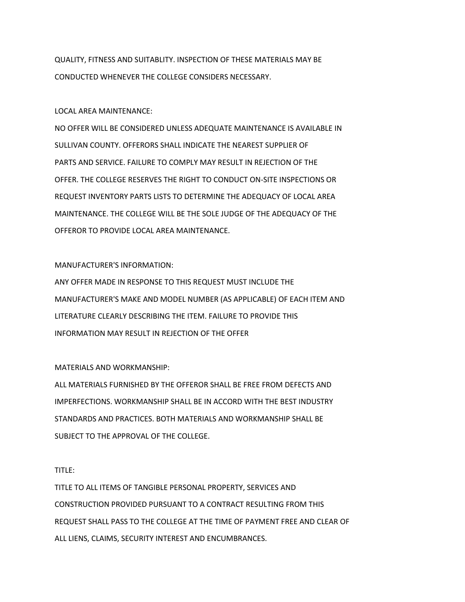QUALITY, FITNESS AND SUITABLITY. INSPECTION OF THESE MATERIALS MAY BE CONDUCTED WHENEVER THE COLLEGE CONSIDERS NECESSARY.

#### LOCAL AREA MAINTENANCE:

NO OFFER WILL BE CONSIDERED UNLESS ADEQUATE MAINTENANCE IS AVAILABLE IN SULLIVAN COUNTY. OFFERORS SHALL INDICATE THE NEAREST SUPPLIER OF PARTS AND SERVICE. FAILURE TO COMPLY MAY RESULT IN REJECTION OF THE OFFER. THE COLLEGE RESERVES THE RIGHT TO CONDUCT ON-SITE INSPECTIONS OR REQUEST INVENTORY PARTS LISTS TO DETERMINE THE ADEQUACY OF LOCAL AREA MAINTENANCE. THE COLLEGE WILL BE THE SOLE JUDGE OF THE ADEQUACY OF THE OFFEROR TO PROVIDE LOCAL AREA MAINTENANCE.

#### MANUFACTURER'S INFORMATION:

ANY OFFER MADE IN RESPONSE TO THIS REQUEST MUST INCLUDE THE MANUFACTURER'S MAKE AND MODEL NUMBER (AS APPLICABLE) OF EACH ITEM AND LITERATURE CLEARLY DESCRIBING THE ITEM. FAILURE TO PROVIDE THIS INFORMATION MAY RESULT IN REJECTION OF THE OFFER

#### MATERIALS AND WORKMANSHIP:

ALL MATERIALS FURNISHED BY THE OFFEROR SHALL BE FREE FROM DEFECTS AND IMPERFECTIONS. WORKMANSHIP SHALL BE IN ACCORD WITH THE BEST INDUSTRY STANDARDS AND PRACTICES. BOTH MATERIALS AND WORKMANSHIP SHALL BE SUBJECT TO THE APPROVAL OF THE COLLEGE.

#### TITLE:

TITLE TO ALL ITEMS OF TANGIBLE PERSONAL PROPERTY, SERVICES AND CONSTRUCTION PROVIDED PURSUANT TO A CONTRACT RESULTING FROM THIS REQUEST SHALL PASS TO THE COLLEGE AT THE TIME OF PAYMENT FREE AND CLEAR OF ALL LIENS, CLAIMS, SECURITY INTEREST AND ENCUMBRANCES.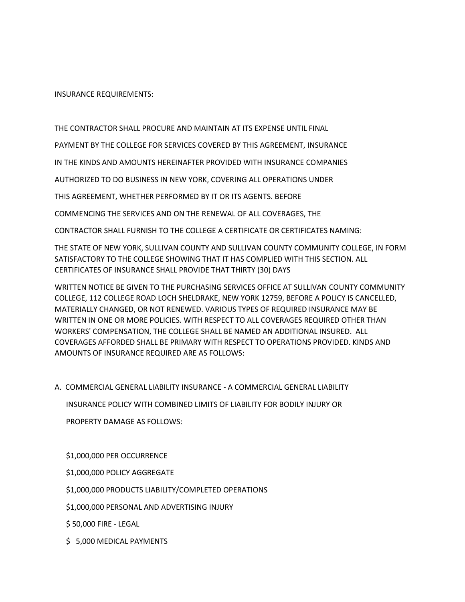INSURANCE REQUIREMENTS:

THE CONTRACTOR SHALL PROCURE AND MAINTAIN AT ITS EXPENSE UNTIL FINAL

PAYMENT BY THE COLLEGE FOR SERVICES COVERED BY THIS AGREEMENT, INSURANCE

IN THE KINDS AND AMOUNTS HEREINAFTER PROVIDED WITH INSURANCE COMPANIES

AUTHORIZED TO DO BUSINESS IN NEW YORK, COVERING ALL OPERATIONS UNDER

THIS AGREEMENT, WHETHER PERFORMED BY IT OR ITS AGENTS. BEFORE

COMMENCING THE SERVICES AND ON THE RENEWAL OF ALL COVERAGES, THE

CONTRACTOR SHALL FURNISH TO THE COLLEGE A CERTIFICATE OR CERTIFICATES NAMING:

THE STATE OF NEW YORK, SULLIVAN COUNTY AND SULLIVAN COUNTY COMMUNITY COLLEGE, IN FORM SATISFACTORY TO THE COLLEGE SHOWING THAT IT HAS COMPLIED WITH THIS SECTION. ALL CERTIFICATES OF INSURANCE SHALL PROVIDE THAT THIRTY (30) DAYS

WRITTEN NOTICE BE GIVEN TO THE PURCHASING SERVICES OFFICE AT SULLIVAN COUNTY COMMUNITY COLLEGE, 112 COLLEGE ROAD LOCH SHELDRAKE, NEW YORK 12759, BEFORE A POLICY IS CANCELLED, MATERIALLY CHANGED, OR NOT RENEWED. VARIOUS TYPES OF REQUIRED INSURANCE MAY BE WRITTEN IN ONE OR MORE POLICIES. WITH RESPECT TO ALL COVERAGES REQUIRED OTHER THAN WORKERS' COMPENSATION, THE COLLEGE SHALL BE NAMED AN ADDITIONAL INSURED. ALL COVERAGES AFFORDED SHALL BE PRIMARY WITH RESPECT TO OPERATIONS PROVIDED. KINDS AND AMOUNTS OF INSURANCE REQUIRED ARE AS FOLLOWS:

A. COMMERCIAL GENERAL LIABILITY INSURANCE - A COMMERCIAL GENERAL LIABILITY

 INSURANCE POLICY WITH COMBINED LIMITS OF LIABILITY FOR BODILY INJURY OR PROPERTY DAMAGE AS FOLLOWS:

#### \$1,000,000 PER OCCURRENCE

\$1,000,000 POLICY AGGREGATE

\$1,000,000 PRODUCTS LIABILITY/COMPLETED OPERATIONS

\$1,000,000 PERSONAL AND ADVERTISING INJURY

\$ 50,000 FIRE - LEGAL

\$ 5,000 MEDICAL PAYMENTS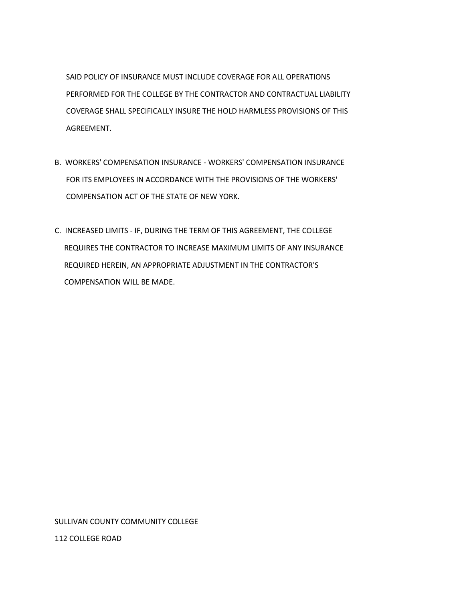SAID POLICY OF INSURANCE MUST INCLUDE COVERAGE FOR ALL OPERATIONS PERFORMED FOR THE COLLEGE BY THE CONTRACTOR AND CONTRACTUAL LIABILITY COVERAGE SHALL SPECIFICALLY INSURE THE HOLD HARMLESS PROVISIONS OF THIS AGREEMENT.

- B. WORKERS' COMPENSATION INSURANCE WORKERS' COMPENSATION INSURANCE FOR ITS EMPLOYEES IN ACCORDANCE WITH THE PROVISIONS OF THE WORKERS' COMPENSATION ACT OF THE STATE OF NEW YORK.
- C. INCREASED LIMITS IF, DURING THE TERM OF THIS AGREEMENT, THE COLLEGE REQUIRES THE CONTRACTOR TO INCREASE MAXIMUM LIMITS OF ANY INSURANCE REQUIRED HEREIN, AN APPROPRIATE ADJUSTMENT IN THE CONTRACTOR'S COMPENSATION WILL BE MADE.

#### SULLIVAN COUNTY COMMUNITY COLLEGE

112 COLLEGE ROAD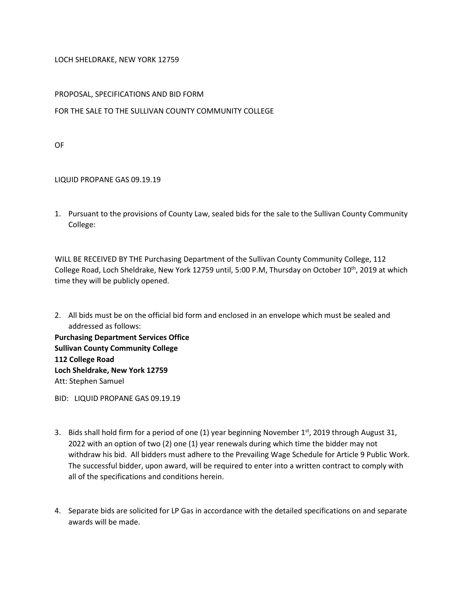#### LOCH SHELDRAKE, NEW YORK 12759

#### PROPOSAL, SPECIFICATIONS AND BID FORM

#### FOR THE SALE TO THE SULLIVAN COUNTY COMMUNITY COLLEGE

OF

#### LIQUID PROPANE GAS 09.19.19

1. Pursuant to the provisions of County Law, sealed bids for the sale to the Sullivan County Community College:

WILL BE RECEIVED BY THE Purchasing Department of the Sullivan County Community College, 112 College Road, Loch Sheldrake, New York 12759 until, 5:00 P.M, Thursday on October 10<sup>th</sup>, 2019 at which time they will be publicly opened.

2. All bids must be on the official bid form and enclosed in an envelope which must be sealed and addressed as follows:

**Purchasing Department Services Office Sullivan County Community College 112 College Road Loch Sheldrake, New York 12759** Att: Stephen Samuel

BID: LIQUID PROPANE GAS 09.19.19

- 3. Bids shall hold firm for a period of one (1) year beginning November 1st, 2019 through August 31, 2022 with an option of two (2) one (1) year renewals during which time the bidder may not withdraw his bid. All bidders must adhere to the Prevailing Wage Schedule for Article 9 Public Work. The successful bidder, upon award, will be required to enter into a written contract to comply with all of the specifications and conditions herein.
- 4. Separate bids are solicited for LP Gas in accordance with the detailed specifications on and separate awards will be made.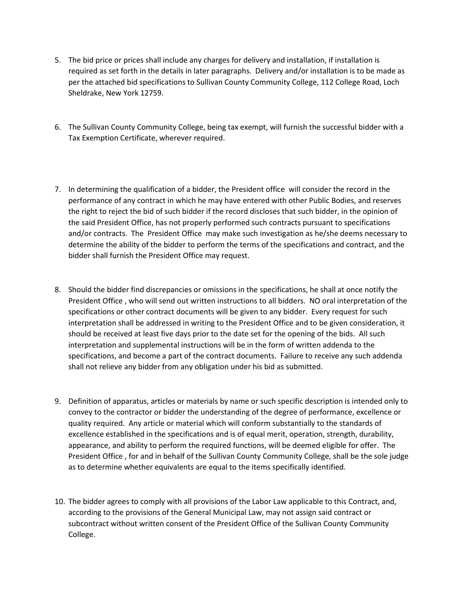- 5. The bid price or prices shall include any charges for delivery and installation, if installation is required as set forth in the details in later paragraphs. Delivery and/or installation is to be made as per the attached bid specifications to Sullivan County Community College, 112 College Road, Loch Sheldrake, New York 12759.
- 6. The Sullivan County Community College, being tax exempt, will furnish the successful bidder with a Tax Exemption Certificate, wherever required.
- 7. In determining the qualification of a bidder, the President office will consider the record in the performance of any contract in which he may have entered with other Public Bodies, and reserves the right to reject the bid of such bidder if the record discloses that such bidder, in the opinion of the said President Office, has not properly performed such contracts pursuant to specifications and/or contracts. The President Office may make such investigation as he/she deems necessary to determine the ability of the bidder to perform the terms of the specifications and contract, and the bidder shall furnish the President Office may request.
- 8. Should the bidder find discrepancies or omissions in the specifications, he shall at once notify the President Office , who will send out written instructions to all bidders. NO oral interpretation of the specifications or other contract documents will be given to any bidder. Every request for such interpretation shall be addressed in writing to the President Office and to be given consideration, it should be received at least five days prior to the date set for the opening of the bids. All such interpretation and supplemental instructions will be in the form of written addenda to the specifications, and become a part of the contract documents. Failure to receive any such addenda shall not relieve any bidder from any obligation under his bid as submitted.
- 9. Definition of apparatus, articles or materials by name or such specific description is intended only to convey to the contractor or bidder the understanding of the degree of performance, excellence or quality required. Any article or material which will conform substantially to the standards of excellence established in the specifications and is of equal merit, operation, strength, durability, appearance, and ability to perform the required functions, will be deemed eligible for offer. The President Office , for and in behalf of the Sullivan County Community College, shall be the sole judge as to determine whether equivalents are equal to the items specifically identified.
- 10. The bidder agrees to comply with all provisions of the Labor Law applicable to this Contract, and, according to the provisions of the General Municipal Law, may not assign said contract or subcontract without written consent of the President Office of the Sullivan County Community College.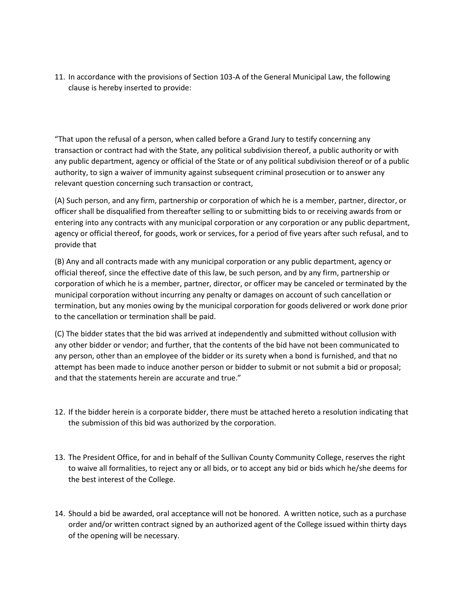11. In accordance with the provisions of Section 103-A of the General Municipal Law, the following clause is hereby inserted to provide:

"That upon the refusal of a person, when called before a Grand Jury to testify concerning any transaction or contract had with the State, any political subdivision thereof, a public authority or with any public department, agency or official of the State or of any political subdivision thereof or of a public authority, to sign a waiver of immunity against subsequent criminal prosecution or to answer any relevant question concerning such transaction or contract,

(A) Such person, and any firm, partnership or corporation of which he is a member, partner, director, or officer shall be disqualified from thereafter selling to or submitting bids to or receiving awards from or entering into any contracts with any municipal corporation or any corporation or any public department, agency or official thereof, for goods, work or services, for a period of five years after such refusal, and to provide that

(B) Any and all contracts made with any municipal corporation or any public department, agency or official thereof, since the effective date of this law, be such person, and by any firm, partnership or corporation of which he is a member, partner, director, or officer may be canceled or terminated by the municipal corporation without incurring any penalty or damages on account of such cancellation or termination, but any monies owing by the municipal corporation for goods delivered or work done prior to the cancellation or termination shall be paid.

(C) The bidder states that the bid was arrived at independently and submitted without collusion with any other bidder or vendor; and further, that the contents of the bid have not been communicated to any person, other than an employee of the bidder or its surety when a bond is furnished, and that no attempt has been made to induce another person or bidder to submit or not submit a bid or proposal; and that the statements herein are accurate and true."

- 12. If the bidder herein is a corporate bidder, there must be attached hereto a resolution indicating that the submission of this bid was authorized by the corporation.
- 13. The President Office, for and in behalf of the Sullivan County Community College, reserves the right to waive all formalities, to reject any or all bids, or to accept any bid or bids which he/she deems for the best interest of the College.
- 14. Should a bid be awarded, oral acceptance will not be honored. A written notice, such as a purchase order and/or written contract signed by an authorized agent of the College issued within thirty days of the opening will be necessary.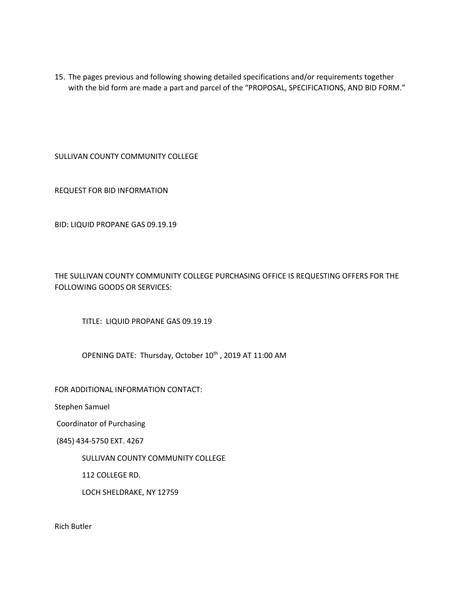15. The pages previous and following showing detailed specifications and/or requirements together with the bid form are made a part and parcel of the "PROPOSAL, SPECIFICATIONS, AND BID FORM."

SULLIVAN COUNTY COMMUNITY COLLEGE

REQUEST FOR BID INFORMATION

BID: LIQUID PROPANE GAS 09.19.19

THE SULLIVAN COUNTY COMMUNITY COLLEGE PURCHASING OFFICE IS REQUESTING OFFERS FOR THE FOLLOWING GOODS OR SERVICES:

TITLE: LIQUID PROPANE GAS 09.19.19

OPENING DATE: Thursday, October 10<sup>th</sup>, 2019 AT 11:00 AM

FOR ADDITIONAL INFORMATION CONTACT:

Stephen Samuel

Coordinator of Purchasing

(845) 434-5750 EXT. 4267

SULLIVAN COUNTY COMMUNITY COLLEGE

112 COLLEGE RD.

LOCH SHELDRAKE, NY 12759

Rich Butler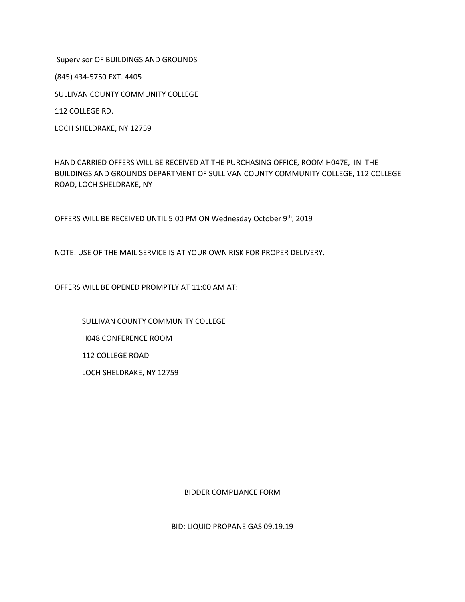Supervisor OF BUILDINGS AND GROUNDS

(845) 434-5750 EXT. 4405

SULLIVAN COUNTY COMMUNITY COLLEGE

112 COLLEGE RD.

LOCH SHELDRAKE, NY 12759

HAND CARRIED OFFERS WILL BE RECEIVED AT THE PURCHASING OFFICE, ROOM H047E, IN THE BUILDINGS AND GROUNDS DEPARTMENT OF SULLIVAN COUNTY COMMUNITY COLLEGE, 112 COLLEGE ROAD, LOCH SHELDRAKE, NY

OFFERS WILL BE RECEIVED UNTIL 5:00 PM ON Wednesday October 9th, 2019

NOTE: USE OF THE MAIL SERVICE IS AT YOUR OWN RISK FOR PROPER DELIVERY.

OFFERS WILL BE OPENED PROMPTLY AT 11:00 AM AT:

SULLIVAN COUNTY COMMUNITY COLLEGE H048 CONFERENCE ROOM 112 COLLEGE ROAD LOCH SHELDRAKE, NY 12759

BIDDER COMPLIANCE FORM

BID: LIQUID PROPANE GAS 09.19.19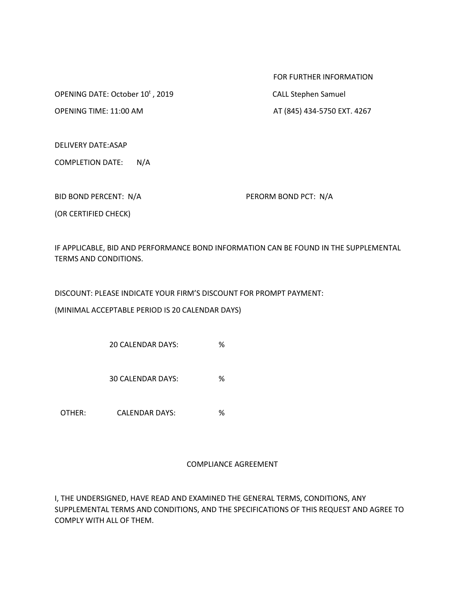OPENING DATE: October 10<sup>t</sup>, 2019

FOR FURTHER INFORMATION , 2019 CALL Stephen Samuel

OPENING TIME: 11:00 AM AT (845) 434-5750 EXT. 4267

DELIVERY DATE:ASAP

COMPLETION DATE: N/A

BID BOND PERCENT: N/A PERORM BOND PCT: N/A

(OR CERTIFIED CHECK)

IF APPLICABLE, BID AND PERFORMANCE BOND INFORMATION CAN BE FOUND IN THE SUPPLEMENTAL TERMS AND CONDITIONS.

DISCOUNT: PLEASE INDICATE YOUR FIRM'S DISCOUNT FOR PROMPT PAYMENT:

(MINIMAL ACCEPTABLE PERIOD IS 20 CALENDAR DAYS)

20 CALENDAR DAYS: %

30 CALENDAR DAYS: %

OTHER: CALENDAR DAYS: %

#### COMPLIANCE AGREEMENT

I, THE UNDERSIGNED, HAVE READ AND EXAMINED THE GENERAL TERMS, CONDITIONS, ANY SUPPLEMENTAL TERMS AND CONDITIONS, AND THE SPECIFICATIONS OF THIS REQUEST AND AGREE TO COMPLY WITH ALL OF THEM.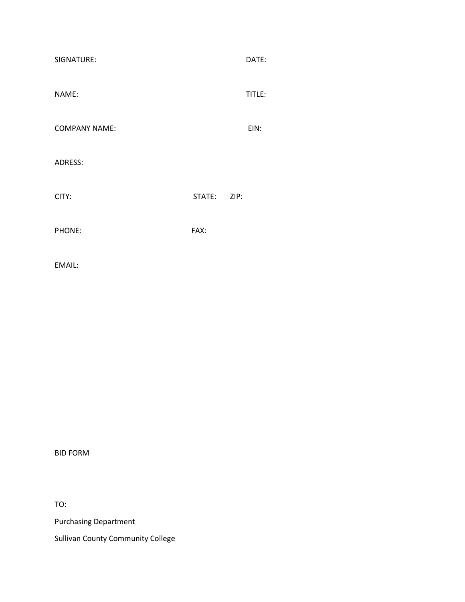| SIGNATURE:           |             | DATE:  |
|----------------------|-------------|--------|
| NAME:                |             | TITLE: |
| <b>COMPANY NAME:</b> |             | EIN:   |
| ADRESS:              |             |        |
| CITY:                | STATE: ZIP: |        |
| PHONE:               | FAX:        |        |
| EMAIL:               |             |        |

BID FORM

TO:

Purchasing Department

Sullivan County Community College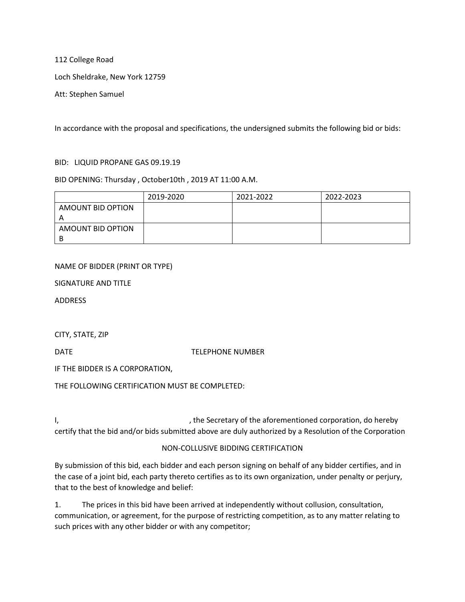112 College Road

Loch Sheldrake, New York 12759

Att: Stephen Samuel

In accordance with the proposal and specifications, the undersigned submits the following bid or bids:

#### BID: LIQUID PROPANE GAS 09.19.19

#### BID OPENING: Thursday , October10th , 2019 AT 11:00 A.M.

|                   | 2019-2020 | 2021-2022 | 2022-2023 |
|-------------------|-----------|-----------|-----------|
| AMOUNT BID OPTION |           |           |           |
|                   |           |           |           |
| AMOUNT BID OPTION |           |           |           |
| B                 |           |           |           |

#### NAME OF BIDDER (PRINT OR TYPE)

SIGNATURE AND TITLE

ADDRESS

CITY, STATE, ZIP

DATE DATE DESCRIPTION DATE DATE DESCRIPTION OF TELEPHONE NUMBER

IF THE BIDDER IS A CORPORATION,

THE FOLLOWING CERTIFICATION MUST BE COMPLETED:

I, the Secretary of the aforementioned corporation, do hereby  $\mathsf{I}$ , certify that the bid and/or bids submitted above are duly authorized by a Resolution of the Corporation

#### NON-COLLUSIVE BIDDING CERTIFICATION

By submission of this bid, each bidder and each person signing on behalf of any bidder certifies, and in the case of a joint bid, each party thereto certifies as to its own organization, under penalty or perjury, that to the best of knowledge and belief:

1. The prices in this bid have been arrived at independently without collusion, consultation, communication, or agreement, for the purpose of restricting competition, as to any matter relating to such prices with any other bidder or with any competitor;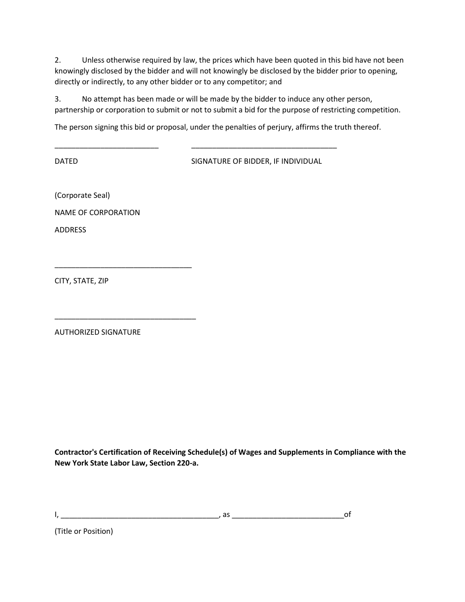2. Unless otherwise required by law, the prices which have been quoted in this bid have not been knowingly disclosed by the bidder and will not knowingly be disclosed by the bidder prior to opening, directly or indirectly, to any other bidder or to any competitor; and

3. No attempt has been made or will be made by the bidder to induce any other person, partnership or corporation to submit or not to submit a bid for the purpose of restricting competition.

The person signing this bid or proposal, under the penalties of perjury, affirms the truth thereof.

DATED SIGNATURE OF BIDDER, IF INDIVIDUAL

(Corporate Seal)

NAME OF CORPORATION

\_\_\_\_\_\_\_\_\_\_\_\_\_\_\_\_\_\_\_\_\_\_\_\_\_\_\_\_\_\_\_\_\_

\_\_\_\_\_\_\_\_\_\_\_\_\_\_\_\_\_\_\_\_\_\_\_\_\_\_\_\_\_\_\_\_\_\_

 $\overline{\phantom{a}}$ 

ADDRESS

CITY, STATE, ZIP

AUTHORIZED SIGNATURE

**Contractor's Certification of Receiving Schedule(s) of Wages and Supplements in Compliance with the New York State Labor Law, Section 220-a.**

I, \_\_\_\_\_\_\_\_\_\_\_\_\_\_\_\_\_\_\_\_\_\_\_\_\_\_\_\_\_\_\_\_\_\_\_\_\_\_, as \_\_\_\_\_\_\_\_\_\_\_\_\_\_\_\_\_\_\_\_\_\_\_\_\_\_\_of

(Title or Position)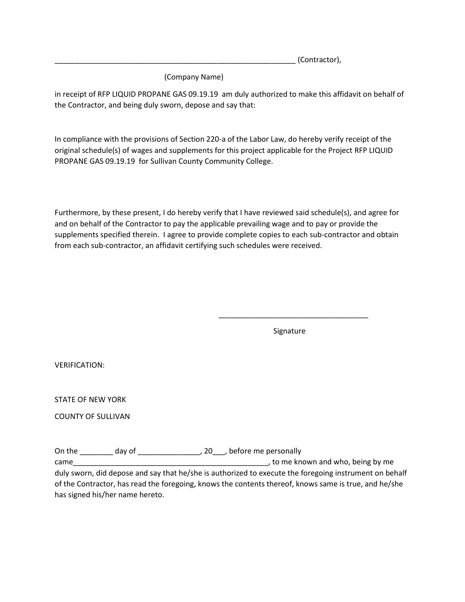\_\_\_\_\_\_\_\_\_\_\_\_\_\_\_\_\_\_\_\_\_\_\_\_\_\_\_\_\_\_\_\_\_\_\_\_\_\_\_\_\_\_\_\_\_\_\_\_\_\_\_\_\_\_\_\_\_\_ (Contractor),

(Company Name)

in receipt of RFP LIQUID PROPANE GAS 09.19.19 am duly authorized to make this affidavit on behalf of the Contractor, and being duly sworn, depose and say that:

In compliance with the provisions of Section 220-a of the Labor Law, do hereby verify receipt of the original schedule(s) of wages and supplements for this project applicable for the Project RFP LIQUID PROPANE GAS 09.19.19 for Sullivan County Community College.

Furthermore, by these present, I do hereby verify that I have reviewed said schedule(s), and agree for and on behalf of the Contractor to pay the applicable prevailing wage and to pay or provide the supplements specified therein. I agree to provide complete copies to each sub-contractor and obtain from each sub-contractor, an affidavit certifying such schedules were received.

Signature

\_\_\_\_\_\_\_\_\_\_\_\_\_\_\_\_\_\_\_\_\_\_\_\_\_\_\_\_\_\_\_\_\_\_\_\_

VERIFICATION:

STATE OF NEW YORK

COUNTY OF SULLIVAN

On the \_\_\_\_\_\_\_\_ day of \_\_\_\_\_\_\_\_\_\_\_\_\_\_\_, 20\_\_\_, before me personally

came and the came of the came of the came of the came of the came of the came of the came of the came of the came of the came of the came of the came of the came of the came of the came of the came of the came of the came duly sworn, did depose and say that he/she is authorized to execute the foregoing instrument on behalf of the Contractor, has read the foregoing, knows the contents thereof, knows same is true, and he/she has signed his/her name hereto.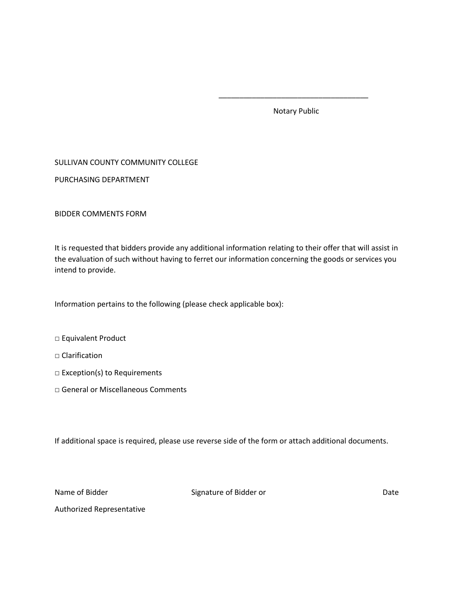Notary Public

\_\_\_\_\_\_\_\_\_\_\_\_\_\_\_\_\_\_\_\_\_\_\_\_\_\_\_\_\_\_\_\_\_\_\_\_

#### SULLIVAN COUNTY COMMUNITY COLLEGE

PURCHASING DEPARTMENT

BIDDER COMMENTS FORM

It is requested that bidders provide any additional information relating to their offer that will assist in the evaluation of such without having to ferret our information concerning the goods or services you intend to provide.

Information pertains to the following (please check applicable box):

- □ Equivalent Product
- $\Box$  Clarification
- □ Exception(s) to Requirements
- □ General or Miscellaneous Comments

If additional space is required, please use reverse side of the form or attach additional documents.

Name of Bidder **Signature of Bidder or** Date Date

Authorized Representative